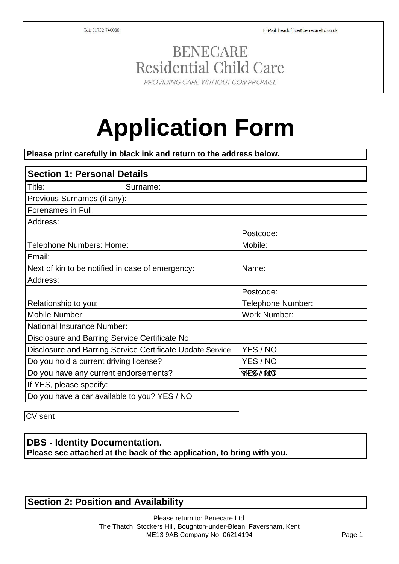E-Mail: headoffice@benecareltd.co.uk

Tel: 01732 740088

# **BENECARE Residential Child Care**

PROVIDING CARE WITHOUT COMPROMISE

# **Application Form**

**Please print carefully in black ink and return to the address below.**

| <b>Section 1: Personal Details</b>                        |                     |
|-----------------------------------------------------------|---------------------|
| Title:<br>Surname:                                        |                     |
| Previous Surnames (if any):                               |                     |
| Forenames in Full:                                        |                     |
| Address:                                                  |                     |
|                                                           | Postcode:           |
| Telephone Numbers: Home:                                  | Mobile:             |
| Email:                                                    |                     |
| Next of kin to be notified in case of emergency:          | Name:               |
| Address:                                                  |                     |
|                                                           | Postcode:           |
| Relationship to you:                                      | Telephone Number:   |
| Mobile Number:                                            | <b>Work Number:</b> |
| National Insurance Number:                                |                     |
| Disclosure and Barring Service Certificate No:            |                     |
| Disclosure and Barring Service Certificate Update Service | YES / NO            |
| Do you hold a current driving license?                    | YES / NO            |
| Do you have any current endorsements?                     | YES/NO              |
| If YES, please specify:                                   |                     |
| Do you have a car available to you? YES / NO              |                     |

CV sent

### **DBS - Identity Documentation.**

**Please see attached at the back of the application, to bring with you.**

### **Section 2: Position and Availability**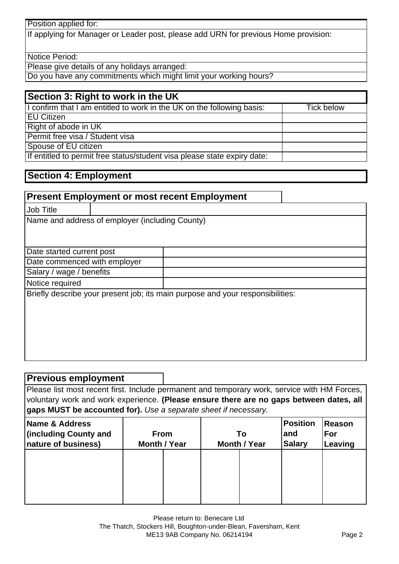Position applied for:

If applying for Manager or Leader post, please add URN for previous Home provision:

Notice Period:

Please give details of any holidays arranged:

Do you have any commitments which might limit your working hours?

#### **Section 3: Right to work in the UK**

| I confirm that I am entitled to work in the UK on the following basis:   | Tick below |
|--------------------------------------------------------------------------|------------|
| <b>EU Citizen</b>                                                        |            |
| Right of abode in UK                                                     |            |
| Permit free visa / Student visa                                          |            |
| Spouse of EU citizen                                                     |            |
| If entitled to permit free status/student visa please state expiry date: |            |

#### **Section 4: Employment**

#### **Present Employment or most recent Employment**

Job Title

Name and address of employer (including County)

#### Date started current post

Date commenced with employer

Salary / wage / benefits

Notice required

Briefly describe your present job; its main purpose and your responsibilities:

#### **Previous employment**

Please list most recent first. Include permanent and temporary work, service with HM Forces, voluntary work and work experience. **(Please ensure there are no gaps between dates, all gaps MUST be accounted for).** *Use a separate sheet if necessary.*

| Name & Address<br>(including County and<br>nature of business) | <b>From</b><br><b>Month / Year</b> | To<br><b>Month / Year</b> | <b>Position</b><br>and<br><b>Salary</b> | Reason<br><b> For</b><br>Leaving |
|----------------------------------------------------------------|------------------------------------|---------------------------|-----------------------------------------|----------------------------------|
|                                                                |                                    |                           |                                         |                                  |
|                                                                |                                    |                           |                                         |                                  |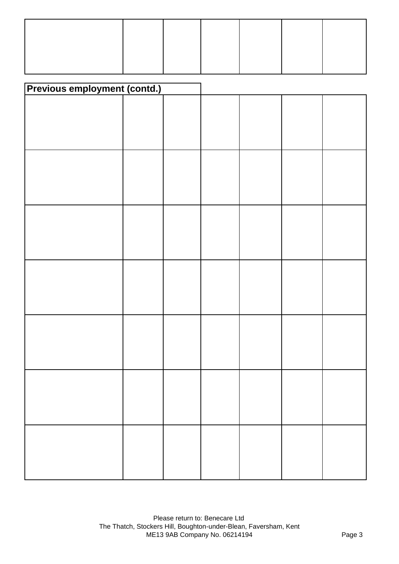| <b>Previous employment (contd.)</b> |  |  |  |
|-------------------------------------|--|--|--|
|                                     |  |  |  |
|                                     |  |  |  |
|                                     |  |  |  |
|                                     |  |  |  |
|                                     |  |  |  |
|                                     |  |  |  |
|                                     |  |  |  |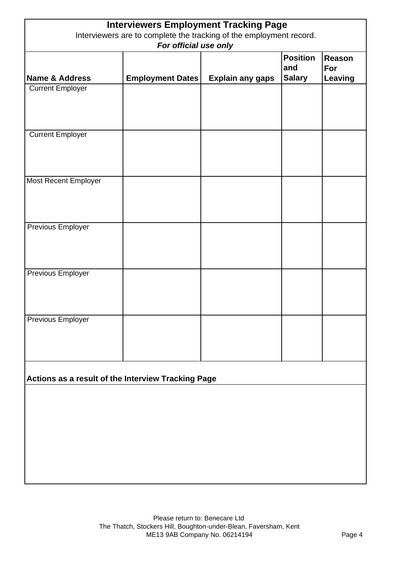| <b>Interviewers Employment Tracking Page</b><br>Interviewers are to complete the tracking of the employment record. |                         |                         |                                         |                                 |
|---------------------------------------------------------------------------------------------------------------------|-------------------------|-------------------------|-----------------------------------------|---------------------------------|
| For official use only                                                                                               |                         |                         |                                         |                                 |
| Name & Address                                                                                                      | <b>Employment Dates</b> | <b>Explain any gaps</b> | <b>Position</b><br>and<br><b>Salary</b> | <b>Reason</b><br>For<br>Leaving |
| <b>Current Employer</b>                                                                                             |                         |                         |                                         |                                 |
|                                                                                                                     |                         |                         |                                         |                                 |
| <b>Current Employer</b>                                                                                             |                         |                         |                                         |                                 |
| <b>Most Recent Employer</b>                                                                                         |                         |                         |                                         |                                 |
| <b>Previous Employer</b>                                                                                            |                         |                         |                                         |                                 |
| Previous Employer                                                                                                   |                         |                         |                                         |                                 |
| Previous Employer                                                                                                   |                         |                         |                                         |                                 |
| Actions as a result of the Interview Tracking Page                                                                  |                         |                         |                                         |                                 |
|                                                                                                                     |                         |                         |                                         |                                 |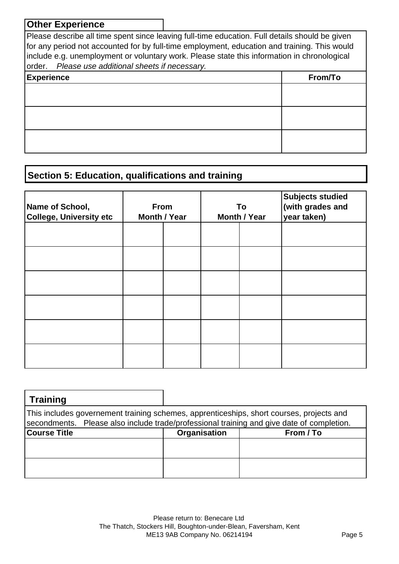#### **Other Experience**

Please describe all time spent since leaving full-time education. Full details should be given for any period not accounted for by full-time employment, education and training. This would include e.g. unemployment or voluntary work. Please state this information in chronological order. *Please use additional sheets if necessary.* **Experience From/To**

# **Section 5: Education, qualifications and training**

| Name of School,<br><b>College, University etc</b> | From<br><b>Month / Year</b> |  | To<br><b>Month / Year</b> | <b>Subjects studied</b><br>(with grades and<br>year taken) |
|---------------------------------------------------|-----------------------------|--|---------------------------|------------------------------------------------------------|
|                                                   |                             |  |                           |                                                            |
|                                                   |                             |  |                           |                                                            |
|                                                   |                             |  |                           |                                                            |
|                                                   |                             |  |                           |                                                            |
|                                                   |                             |  |                           |                                                            |
|                                                   |                             |  |                           |                                                            |

| <b>Training</b>                                                                                                                                                                       |              |           |
|---------------------------------------------------------------------------------------------------------------------------------------------------------------------------------------|--------------|-----------|
| This includes governement training schemes, apprenticeships, short courses, projects and<br>secondments. Please also include trade/professional training and give date of completion. |              |           |
| <b>Course Title</b>                                                                                                                                                                   | Organisation | From / To |
|                                                                                                                                                                                       |              |           |
|                                                                                                                                                                                       |              |           |
|                                                                                                                                                                                       |              |           |
|                                                                                                                                                                                       |              |           |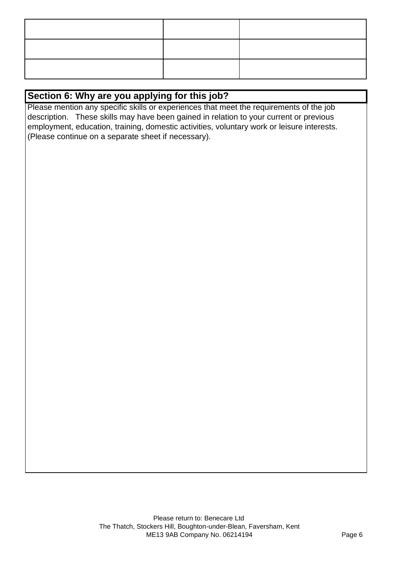# **Section 6: Why are you applying for this job?**

Please mention any specific skills or experiences that meet the requirements of the job description. These skills may have been gained in relation to your current or previous employment, education, training, domestic activities, voluntary work or leisure interests. (Please continue on a separate sheet if necessary).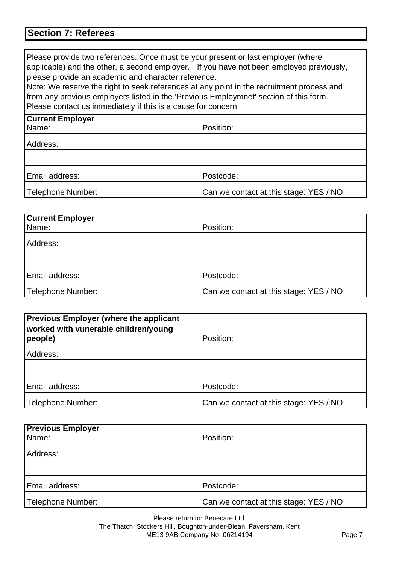# **Section 7: Referees**

| Please provide two references. Once must be your present or last employer (where<br>applicable) and the other, a second employer. If you have not been employed previously,<br>please provide an academic and character reference.<br>Note: We reserve the right to seek references at any point in the recruitment process and<br>from any previous employers listed in the 'Previous Employmnet' section of this form.<br>Please contact us immediately if this is a cause for concern. |                                        |
|-------------------------------------------------------------------------------------------------------------------------------------------------------------------------------------------------------------------------------------------------------------------------------------------------------------------------------------------------------------------------------------------------------------------------------------------------------------------------------------------|----------------------------------------|
| <b>Current Employer</b>                                                                                                                                                                                                                                                                                                                                                                                                                                                                   |                                        |
| Name:                                                                                                                                                                                                                                                                                                                                                                                                                                                                                     | Position:                              |
| Address:                                                                                                                                                                                                                                                                                                                                                                                                                                                                                  |                                        |
|                                                                                                                                                                                                                                                                                                                                                                                                                                                                                           |                                        |
| Email address:                                                                                                                                                                                                                                                                                                                                                                                                                                                                            | Postcode:                              |
| Telephone Number:                                                                                                                                                                                                                                                                                                                                                                                                                                                                         | Can we contact at this stage: YES / NO |
|                                                                                                                                                                                                                                                                                                                                                                                                                                                                                           |                                        |
| <b>Current Employer</b>                                                                                                                                                                                                                                                                                                                                                                                                                                                                   |                                        |
| Name:                                                                                                                                                                                                                                                                                                                                                                                                                                                                                     | Position:                              |
| Address:                                                                                                                                                                                                                                                                                                                                                                                                                                                                                  |                                        |
|                                                                                                                                                                                                                                                                                                                                                                                                                                                                                           |                                        |
| Email address:                                                                                                                                                                                                                                                                                                                                                                                                                                                                            | Postcode:                              |
| Telephone Number:                                                                                                                                                                                                                                                                                                                                                                                                                                                                         | Can we contact at this stage: YES / NO |
|                                                                                                                                                                                                                                                                                                                                                                                                                                                                                           |                                        |

| <b>Previous Employer (where the applicant</b><br>worked with vunerable children/young<br>people) | Position:                              |
|--------------------------------------------------------------------------------------------------|----------------------------------------|
| Address:                                                                                         |                                        |
|                                                                                                  |                                        |
|                                                                                                  |                                        |
| Email address:                                                                                   | Postcode:                              |
| Telephone Number:                                                                                | Can we contact at this stage: YES / NO |

| <b>Previous Employer</b> |                                        |
|--------------------------|----------------------------------------|
| Name:                    | Position:                              |
| Address:                 |                                        |
|                          |                                        |
| Email address:           | Postcode:                              |
| Telephone Number:        | Can we contact at this stage: YES / NO |

Please return to: Benecare Ltd The Thatch, Stockers Hill, Boughton-under-Blean, Faversham, Kent ME13 9AB Company No. 06214194 Page 7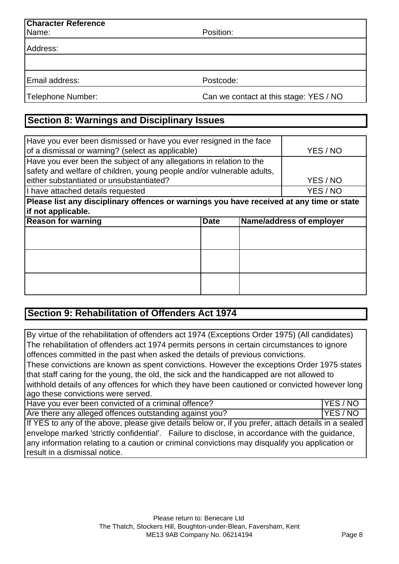| <b>Character Reference</b> |                                        |
|----------------------------|----------------------------------------|
| Name:                      | Position:                              |
| Address:                   |                                        |
|                            |                                        |
| Email address:             | Postcode:                              |
| Telephone Number:          | Can we contact at this stage: YES / NO |

# **Section 8: Warnings and Disciplinary Issues**

| Have you ever been dismissed or have you ever resigned in the face                       |             |  |                          |  |  |
|------------------------------------------------------------------------------------------|-------------|--|--------------------------|--|--|
| of a dismissal or warning? (select as applicable)                                        | YES / NO    |  |                          |  |  |
| Have you ever been the subject of any allegations in relation to the                     |             |  |                          |  |  |
| safety and welfare of children, young people and/or vulnerable adults,                   |             |  |                          |  |  |
| either substantiated or unsubstantiated?                                                 | YES / NO    |  |                          |  |  |
| I have attached details requested                                                        |             |  | YES / NO                 |  |  |
| Please list any disciplinary offences or warnings you have received at any time or state |             |  |                          |  |  |
| if not applicable.                                                                       |             |  |                          |  |  |
| <b>Reason for warning</b>                                                                | <b>Date</b> |  | Name/address of employer |  |  |
|                                                                                          |             |  |                          |  |  |
|                                                                                          |             |  |                          |  |  |
|                                                                                          |             |  |                          |  |  |
|                                                                                          |             |  |                          |  |  |
|                                                                                          |             |  |                          |  |  |
|                                                                                          |             |  |                          |  |  |

## **Section 9: Rehabilitation of Offenders Act 1974**

By virtue of the rehabilitation of offenders act 1974 (Exceptions Order 1975) (All candidates) The rehabilitation of offenders act 1974 permits persons in certain circumstances to ignore offences committed in the past when asked the details of previous convictions.

These convictions are known as spent convictions. However the exceptions Order 1975 states that staff caring for the young, the old, the sick and the handicapped are not allowed to withhold details of any offences for which they have been cautioned or convicted however long ago these convictions were served.

| Have you ever been convicted of a criminal offence?     | <b>IYES/NO</b> |
|---------------------------------------------------------|----------------|
| Are there any alleged offences outstanding against you? | <b>IYES/NC</b> |

If YES to any of the above, please give details below or, if you prefer, attach details in a sealed envelope marked 'strictly confidential'. Failure to disclose, in accordance with the guidance, any information relating to a caution or criminal convictions may disqualify you application or result in a dismissal notice.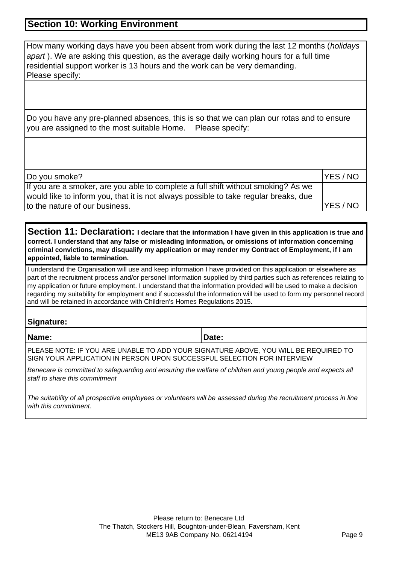#### **Section 10: Working Environment**

How many working days have you been absent from work during the last 12 months (*holidays apart* ). We are asking this question, as the average daily working hours for a full time residential support worker is 13 hours and the work can be very demanding. Please specify:

Do you have any pre-planned absences, this is so that we can plan our rotas and to ensure you are assigned to the most suitable Home. Please specify:

| Do you smoke?                                                                        | <b>YES/NO</b> |
|--------------------------------------------------------------------------------------|---------------|
| If you are a smoker, are you able to complete a full shift without smoking? As we    |               |
| would like to inform you, that it is not always possible to take regular breaks, due |               |
| to the nature of our business.                                                       | <b>YES/NO</b> |

**Section 11: Declaration: I declare that the information I have given in this application is true and correct. I understand that any false or misleading information, or omissions of information concerning criminal convictions, may disqualify my application or may render my Contract of Employment, if I am appointed, liable to termination.**

I understand the Organisation will use and keep information I have provided on this application or elsewhere as part of the recruitment process and/or personel information supplied by third parties such as references relating to my application or future employment. I understand that the information provided will be used to make a decision regarding my suitability for employment and if successful the information will be used to form my personnel record and will be retained in accordance with Children's Homes Regulations 2015.

#### **Signature:**

**Name: Date: Date: Date:** 

PLEASE NOTE: IF YOU ARE UNABLE TO ADD YOUR SIGNATURE ABOVE, YOU WILL BE REQUIRED TO SIGN YOUR APPLICATION IN PERSON UPON SUCCESSFUL SELECTION FOR INTERVIEW

*Benecare is committed to safeguarding and ensuring the welfare of children and young people and expects all staff to share this commitment*

*The suitability of all prospective employees or volunteers will be assessed during the recruitment process in line with this commitment.*